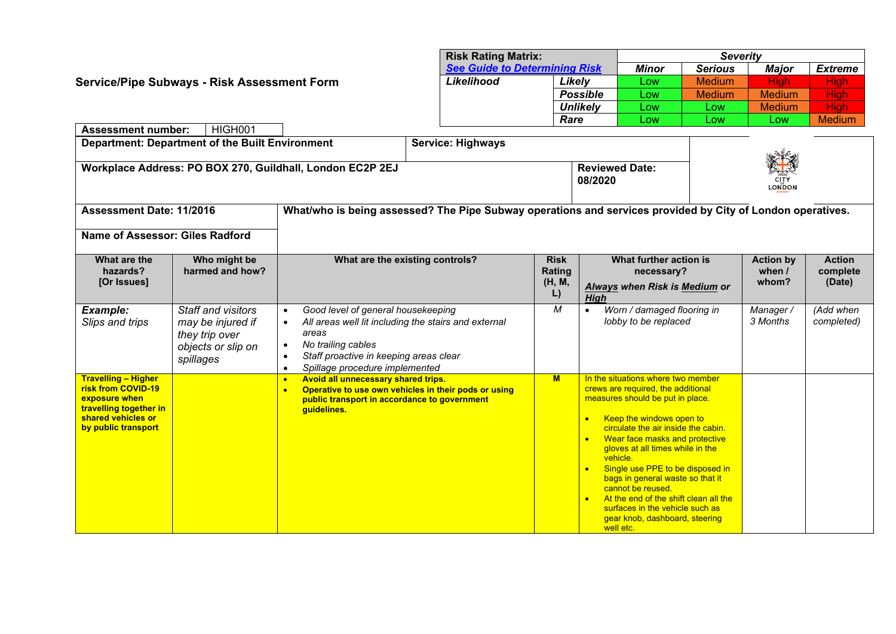|                                                                                                                                               |                          | <b>Risk Rating Matrix:</b><br>See Guide to Determining Risk |                                                                       |               | <b>Severity</b> |                |  |  |
|-----------------------------------------------------------------------------------------------------------------------------------------------|--------------------------|-------------------------------------------------------------|-----------------------------------------------------------------------|---------------|-----------------|----------------|--|--|
|                                                                                                                                               |                          |                                                             |                                                                       |               | <b>Major</b>    | <b>Extreme</b> |  |  |
| Service/Pipe Subways - Risk Assessment Form                                                                                                   | Likelihood               | Likelv                                                      | Low                                                                   | <b>Medium</b> | Hiah I          | High           |  |  |
|                                                                                                                                               |                          | <b>Possible</b>                                             | Low                                                                   | <b>Medium</b> | <b>Medium</b>   | <b>High</b>    |  |  |
|                                                                                                                                               |                          | Unlikely                                                    | Low                                                                   | Low           | <b>Medium</b>   | <b>High</b>    |  |  |
|                                                                                                                                               |                          | Rare                                                        | Low                                                                   | Low           | Low             | <b>Medium</b>  |  |  |
| HIGH001<br><b>Assessment number:</b>                                                                                                          |                          |                                                             |                                                                       |               |                 |                |  |  |
| Department: Department of the Built Environment                                                                                               | <b>Service: Highways</b> |                                                             |                                                                       |               |                 |                |  |  |
| Workplace Address: PO BOX 270, Guildhall, London EC2P 2EJ                                                                                     |                          |                                                             | A<br><b>Reviewed Date:</b><br><b>CITY</b><br>08/2020<br><b>LONDON</b> |               |                 |                |  |  |
| What/who is being assessed? The Pipe Subway operations and services provided by City of London operatives.<br><b>Assessment Date: 11/2016</b> |                          |                                                             |                                                                       |               |                 |                |  |  |

**Name of Assessor: Giles Radford**

| Nanie VI ASSESSVI. Ulics Raulviu                                                                                                         |                                                                                              |                                                                                                                                                                                                       |                                       |                                                                                                                                                                                                                                                                                                                                                                                                                                                                                                                                               |                                            |                                     |
|------------------------------------------------------------------------------------------------------------------------------------------|----------------------------------------------------------------------------------------------|-------------------------------------------------------------------------------------------------------------------------------------------------------------------------------------------------------|---------------------------------------|-----------------------------------------------------------------------------------------------------------------------------------------------------------------------------------------------------------------------------------------------------------------------------------------------------------------------------------------------------------------------------------------------------------------------------------------------------------------------------------------------------------------------------------------------|--------------------------------------------|-------------------------------------|
| What are the<br>hazards?<br>[Or Issues]                                                                                                  | Who might be<br>harmed and how?                                                              | What are the existing controls?                                                                                                                                                                       | <b>Risk</b><br>Rating<br>(H, M,<br>L) | What further action is<br>necessary?<br>Always when Risk is Medium or<br>High                                                                                                                                                                                                                                                                                                                                                                                                                                                                 | <b>Action by</b><br>when $\prime$<br>whom? | <b>Action</b><br>complete<br>(Date) |
| Example:<br>Slips and trips                                                                                                              | Staff and visitors<br>may be injured if<br>they trip over<br>objects or slip on<br>spillages | Good level of general housekeeping<br>All areas well lit including the stairs and external<br>areas<br>No trailing cables<br>Staff proactive in keeping areas clear<br>Spillage procedure implemented | M                                     | Worn / damaged flooring in<br>lobby to be replaced                                                                                                                                                                                                                                                                                                                                                                                                                                                                                            | Manager/<br>3 Months                       | (Add when<br>completed)             |
| <b>Travelling - Higher</b><br>risk from COVID-19<br>exposure when<br>travelling together in<br>shared vehicles or<br>by public transport |                                                                                              | Avoid all unnecessary shared trips.<br>$\bullet$<br>Operative to use own vehicles in their pods or using<br>$\bullet$<br>public transport in accordance to government<br>guidelines.                  | $M$                                   | In the situations where two member<br>crews are required, the additional<br>measures should be put in place.<br>Keep the windows open to<br>$\bullet$<br>circulate the air inside the cabin.<br>Wear face masks and protective<br>$\bullet$<br>gloves at all times while in the<br>vehicle.<br>Single use PPE to be disposed in<br>$\bullet$<br>bags in general waste so that it<br>cannot be reused.<br>At the end of the shift clean all the<br>$\bullet$<br>surfaces in the vehicle such as<br>gear knob, dashboard, steering<br>well etc. |                                            |                                     |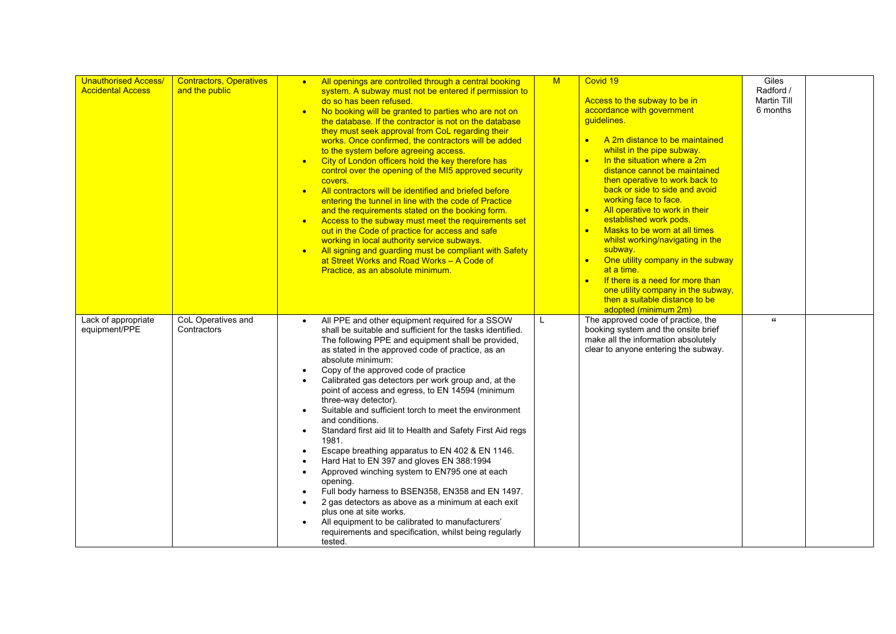| <b>Unauthorised Access/</b><br><b>Accidental Access</b> | <b>Contractors, Operatives</b><br>and the public | All openings are controlled through a central booking<br>$\bullet$<br>system. A subway must not be entered if permission to<br>do so has been refused.<br>No booking will be granted to parties who are not on<br>the database. If the contractor is not on the database<br>they must seek approval from CoL regarding their<br>works. Once confirmed, the contractors will be added<br>to the system before agreeing access.<br>City of London officers hold the key therefore has<br>$\bullet$<br>control over the opening of the MI5 approved security<br>covers.<br>All contractors will be identified and briefed before<br>$\bullet$<br>entering the tunnel in line with the code of Practice<br>and the requirements stated on the booking form.<br>Access to the subway must meet the requirements set<br>$\bullet$<br>out in the Code of practice for access and safe<br>working in local authority service subways.<br>All signing and guarding must be compliant with Safety<br>at Street Works and Road Works - A Code of<br>Practice, as an absolute minimum. | M | Covid 19<br>Access to the subway to be in<br>accordance with government<br>guidelines.<br>A 2m distance to be maintained<br>whilst in the pipe subway.<br>In the situation where a 2m<br>$\bullet$<br>distance cannot be maintained<br>then operative to work back to<br>back or side to side and avoid<br>working face to face.<br>All operative to work in their<br>$\bullet$<br>established work pods.<br>Masks to be worn at all times<br>$\bullet$<br>whilst working/navigating in the<br>subway.<br>One utility company in the subway<br>$\bullet$<br>at a time.<br>If there is a need for more than<br>$\bullet$<br>one utility company in the subway,<br>then a suitable distance to be<br>adopted (minimum 2m) | Giles<br>Radford /<br><b>Martin Till</b><br>6 months |  |
|---------------------------------------------------------|--------------------------------------------------|----------------------------------------------------------------------------------------------------------------------------------------------------------------------------------------------------------------------------------------------------------------------------------------------------------------------------------------------------------------------------------------------------------------------------------------------------------------------------------------------------------------------------------------------------------------------------------------------------------------------------------------------------------------------------------------------------------------------------------------------------------------------------------------------------------------------------------------------------------------------------------------------------------------------------------------------------------------------------------------------------------------------------------------------------------------------------|---|-------------------------------------------------------------------------------------------------------------------------------------------------------------------------------------------------------------------------------------------------------------------------------------------------------------------------------------------------------------------------------------------------------------------------------------------------------------------------------------------------------------------------------------------------------------------------------------------------------------------------------------------------------------------------------------------------------------------------|------------------------------------------------------|--|
| Lack of appropriate<br>equipment/PPE                    | CoL Operatives and<br>Contractors                | All PPE and other equipment required for a SSOW<br>shall be suitable and sufficient for the tasks identified.<br>The following PPE and equipment shall be provided,<br>as stated in the approved code of practice, as an<br>absolute minimum:<br>Copy of the approved code of practice<br>$\bullet$<br>Calibrated gas detectors per work group and, at the<br>point of access and egress, to EN 14594 (minimum<br>three-way detector).<br>Suitable and sufficient torch to meet the environment<br>and conditions.<br>Standard first aid lit to Health and Safety First Aid regs<br>$\bullet$<br>1981.<br>Escape breathing apparatus to EN 402 & EN 1146.<br>$\bullet$<br>Hard Hat to EN 397 and gloves EN 388:1994<br>Approved winching system to EN795 one at each<br>$\bullet$<br>opening.<br>Full body harness to BSEN358, EN358 and EN 1497.<br>2 gas detectors as above as a minimum at each exit<br>$\bullet$<br>plus one at site works.<br>All equipment to be calibrated to manufacturers'<br>requirements and specification, whilst being regularly<br>tested.   | L | The approved code of practice, the<br>booking system and the onsite brief<br>make all the information absolutely<br>clear to anyone entering the subway.                                                                                                                                                                                                                                                                                                                                                                                                                                                                                                                                                                | $\epsilon$                                           |  |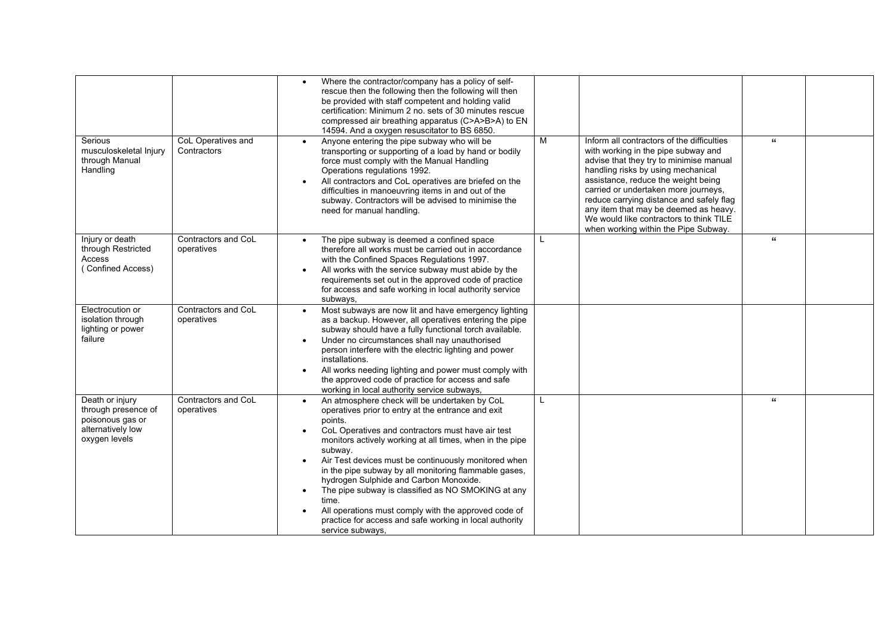|                                                                                                  |                                   | Where the contractor/company has a policy of self-<br>rescue then the following then the following will then<br>be provided with staff competent and holding valid<br>certification: Minimum 2 no. sets of 30 minutes rescue<br>compressed air breathing apparatus (C>A>B>A) to EN<br>14594. And a oxygen resuscitator to BS 6850.                                                                                                                                                                                                                                                                                                                                                                                                                                                                                                                  |                      |  |
|--------------------------------------------------------------------------------------------------|-----------------------------------|-----------------------------------------------------------------------------------------------------------------------------------------------------------------------------------------------------------------------------------------------------------------------------------------------------------------------------------------------------------------------------------------------------------------------------------------------------------------------------------------------------------------------------------------------------------------------------------------------------------------------------------------------------------------------------------------------------------------------------------------------------------------------------------------------------------------------------------------------------|----------------------|--|
| Serious<br>musculoskeletal Injury<br>through Manual<br>Handling                                  | CoL Operatives and<br>Contractors | M<br>Inform all contractors of the difficulties<br>Anyone entering the pipe subway who will be<br>$\bullet$<br>with working in the pipe subway and<br>transporting or supporting of a load by hand or bodily<br>advise that they try to minimise manual<br>force must comply with the Manual Handling<br>handling risks by using mechanical<br>Operations regulations 1992.<br>assistance, reduce the weight being<br>All contractors and CoL operatives are briefed on the<br>$\bullet$<br>carried or undertaken more journeys,<br>difficulties in manoeuvring items in and out of the<br>reduce carrying distance and safely flag<br>subway. Contractors will be advised to minimise the<br>any item that may be deemed as heavy.<br>need for manual handling.<br>We would like contractors to think TILE<br>when working within the Pipe Subway. | $\pmb{\mathfrak{c}}$ |  |
| Injury or death<br>through Restricted<br>Access<br>(Confined Access)                             | Contractors and CoL<br>operatives | The pipe subway is deemed a confined space<br>therefore all works must be carried out in accordance<br>with the Confined Spaces Regulations 1997.<br>All works with the service subway must abide by the<br>$\bullet$<br>requirements set out in the approved code of practice<br>for access and safe working in local authority service<br>subways,                                                                                                                                                                                                                                                                                                                                                                                                                                                                                                | $\mathbf{f}$         |  |
| Electrocution or<br>isolation through<br>lighting or power<br>failure                            | Contractors and CoL<br>operatives | Most subways are now lit and have emergency lighting<br>$\bullet$<br>as a backup. However, all operatives entering the pipe<br>subway should have a fully functional torch available.<br>Under no circumstances shall nay unauthorised<br>$\bullet$<br>person interfere with the electric lighting and power<br>installations.<br>All works needing lighting and power must comply with<br>the approved code of practice for access and safe<br>working in local authority service subways,                                                                                                                                                                                                                                                                                                                                                         |                      |  |
| Death or injury<br>through presence of<br>poisonous gas or<br>alternatively low<br>oxygen levels | Contractors and CoL<br>operatives | An atmosphere check will be undertaken by CoL<br>L<br>operatives prior to entry at the entrance and exit<br>points.<br>CoL Operatives and contractors must have air test<br>monitors actively working at all times, when in the pipe<br>subway.<br>Air Test devices must be continuously monitored when<br>$\bullet$<br>in the pipe subway by all monitoring flammable gases,<br>hydrogen Sulphide and Carbon Monoxide.<br>The pipe subway is classified as NO SMOKING at any<br>$\bullet$<br>time.<br>All operations must comply with the approved code of<br>practice for access and safe working in local authority<br>service subways,                                                                                                                                                                                                          | $\mathbf{f}$         |  |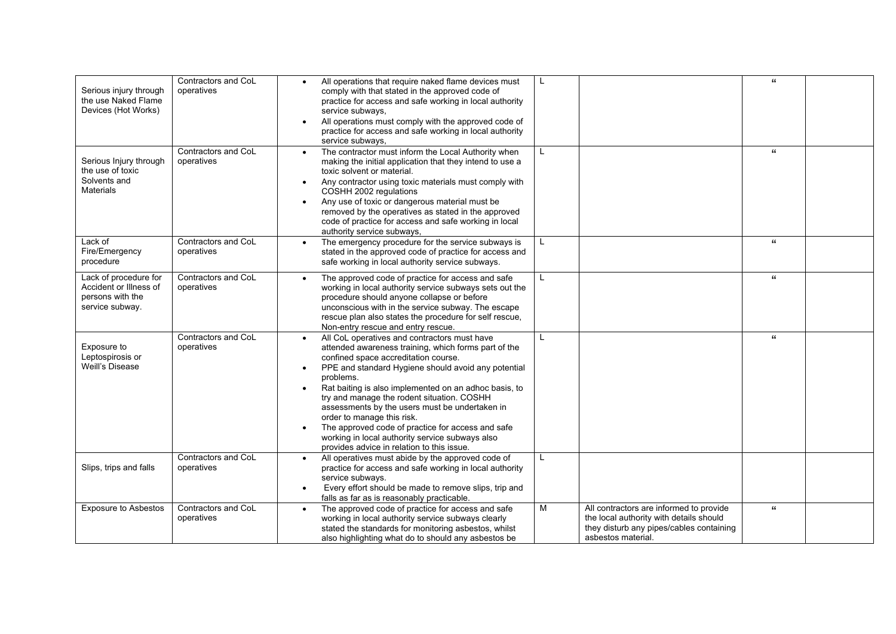| Serious injury through<br>the use Naked Flame<br>Devices (Hot Works)                   | Contractors and CoL<br>operatives | All operations that require naked flame devices must<br>$\bullet$<br>comply with that stated in the approved code of<br>practice for access and safe working in local authority<br>service subways,<br>All operations must comply with the approved code of<br>practice for access and safe working in local authority<br>service subways,                                                                                                                                                                                                                    | L            |                                                                                                                                                      | $\mathbf{u}$         |  |
|----------------------------------------------------------------------------------------|-----------------------------------|---------------------------------------------------------------------------------------------------------------------------------------------------------------------------------------------------------------------------------------------------------------------------------------------------------------------------------------------------------------------------------------------------------------------------------------------------------------------------------------------------------------------------------------------------------------|--------------|------------------------------------------------------------------------------------------------------------------------------------------------------|----------------------|--|
| Serious Injury through<br>the use of toxic<br>Solvents and<br><b>Materials</b>         | Contractors and CoL<br>operatives | The contractor must inform the Local Authority when<br>$\bullet$<br>making the initial application that they intend to use a<br>toxic solvent or material.<br>Any contractor using toxic materials must comply with<br>$\bullet$<br>COSHH 2002 regulations<br>Any use of toxic or dangerous material must be<br>removed by the operatives as stated in the approved<br>code of practice for access and safe working in local<br>authority service subways,                                                                                                    | L            |                                                                                                                                                      | $\mathbf{G}$         |  |
| Lack of<br>Fire/Emergency<br>procedure                                                 | Contractors and CoL<br>operatives | The emergency procedure for the service subways is<br>stated in the approved code of practice for access and<br>safe working in local authority service subways.                                                                                                                                                                                                                                                                                                                                                                                              |              |                                                                                                                                                      | $\mathbf{G}$         |  |
| Lack of procedure for<br>Accident or Illness of<br>persons with the<br>service subway. | Contractors and CoL<br>operatives | The approved code of practice for access and safe<br>working in local authority service subways sets out the<br>procedure should anyone collapse or before<br>unconscious with in the service subway. The escape<br>rescue plan also states the procedure for self rescue,<br>Non-entry rescue and entry rescue.                                                                                                                                                                                                                                              | $\mathsf{L}$ |                                                                                                                                                      | $\pmb{\mathfrak{c}}$ |  |
| Exposure to<br>Leptospirosis or<br>Weill's Disease                                     | Contractors and CoL<br>operatives | All CoL operatives and contractors must have<br>attended awareness training, which forms part of the<br>confined space accreditation course.<br>PPE and standard Hygiene should avoid any potential<br>problems.<br>Rat baiting is also implemented on an adhoc basis, to<br>try and manage the rodent situation. COSHH<br>assessments by the users must be undertaken in<br>order to manage this risk.<br>The approved code of practice for access and safe<br>working in local authority service subways also<br>provides advice in relation to this issue. | L            |                                                                                                                                                      | $\mathbf{G}$         |  |
| Slips, trips and falls                                                                 | Contractors and CoL<br>operatives | All operatives must abide by the approved code of<br>$\bullet$<br>practice for access and safe working in local authority<br>service subways.<br>Every effort should be made to remove slips, trip and<br>falls as far as is reasonably practicable.                                                                                                                                                                                                                                                                                                          | $\mathsf{L}$ |                                                                                                                                                      |                      |  |
| <b>Exposure to Asbestos</b>                                                            | Contractors and CoL<br>operatives | The approved code of practice for access and safe<br>$\bullet$<br>working in local authority service subways clearly<br>stated the standards for monitoring asbestos, whilst<br>also highlighting what do to should any asbestos be                                                                                                                                                                                                                                                                                                                           | M            | All contractors are informed to provide<br>the local authority with details should<br>they disturb any pipes/cables containing<br>asbestos material. | $\mathbf{G}$         |  |